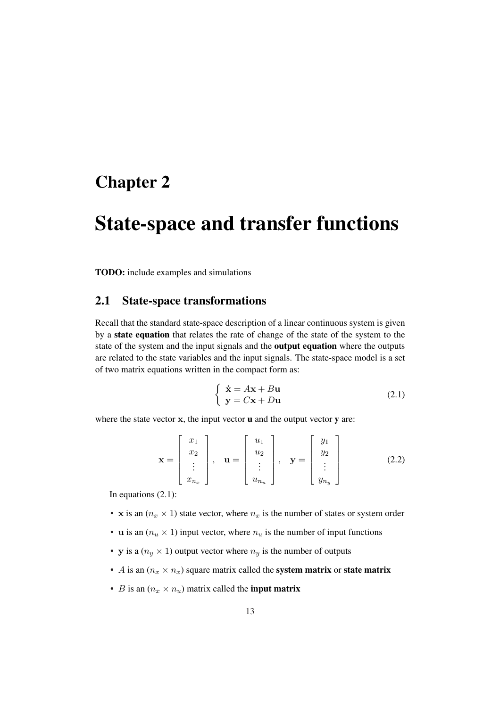## Chapter 2

# State-space and transfer functions

TODO: include examples and simulations

### 2.1 State-space transformations

Recall that the standard state-space description of a linear continuous system is given by a state equation that relates the rate of change of the state of the system to the state of the system and the input signals and the output equation where the outputs are related to the state variables and the input signals. The state-space model is a set of two matrix equations written in the compact form as:

$$
\begin{cases} \dot{\mathbf{x}} = A\mathbf{x} + B\mathbf{u} \\ \mathbf{y} = C\mathbf{x} + D\mathbf{u} \end{cases}
$$
 (2.1)

where the state vector  $x$ , the input vector  $u$  and the output vector  $y$  are:

$$
\mathbf{x} = \begin{bmatrix} x_1 \\ x_2 \\ \vdots \\ x_{n_x} \end{bmatrix}, \quad \mathbf{u} = \begin{bmatrix} u_1 \\ u_2 \\ \vdots \\ u_{n_u} \end{bmatrix}, \quad \mathbf{y} = \begin{bmatrix} y_1 \\ y_2 \\ \vdots \\ y_{n_y} \end{bmatrix}
$$
(2.2)

In equations (2.1):

- x is an  $(n_x \times 1)$  state vector, where  $n_x$  is the number of states or system order
- u is an  $(n_u \times 1)$  input vector, where  $n_u$  is the number of input functions
- y is a  $(n_y \times 1)$  output vector where  $n_y$  is the number of outputs
- A is an  $(n_x \times n_x)$  square matrix called the **system matrix** or **state matrix**
- *B* is an  $(n_x \times n_u)$  matrix called the **input matrix**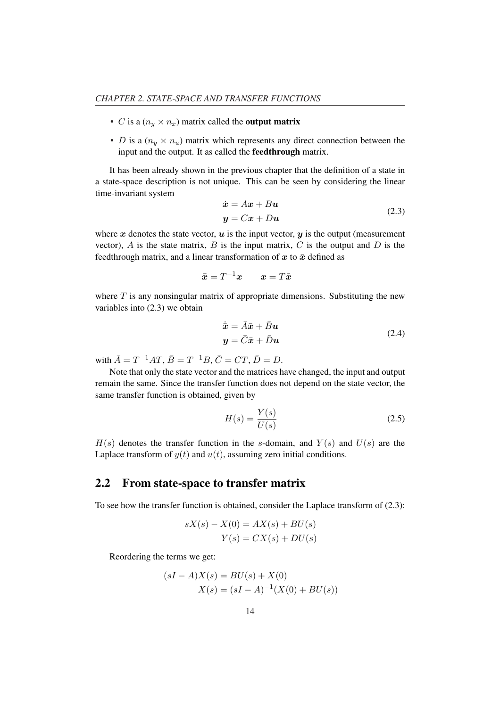- *C* is a  $(n_u \times n_x)$  matrix called the **output matrix**
- *D* is a  $(n<sub>y</sub> × n<sub>u</sub>)$  matrix which represents any direct connection between the input and the output. It as called the feedthrough matrix.

It has been already shown in the previous chapter that the definition of a state in a state-space description is not unique. This can be seen by considering the linear time-invariant system

$$
\begin{aligned} \dot{\mathbf{x}} &= A\mathbf{x} + B\mathbf{u} \\ \mathbf{y} &= C\mathbf{x} + D\mathbf{u} \end{aligned} \tag{2.3}
$$

where x denotes the state vector,  $u$  is the input vector,  $y$  is the output (measurement vector),  $\vec{A}$  is the state matrix,  $\vec{B}$  is the input matrix,  $\vec{C}$  is the output and  $\vec{D}$  is the feedthrough matrix, and a linear transformation of  $x$  to  $\bar{x}$  defined as

$$
\bar{\boldsymbol{x}}=T^{-1}\boldsymbol{x}\qquad \boldsymbol{x}=T\bar{\boldsymbol{x}}
$$

where  $T$  is any nonsingular matrix of appropriate dimensions. Substituting the new variables into (2.3) we obtain

$$
\begin{aligned}\n\dot{\bar{x}} &= \bar{A}\bar{x} + \bar{B}u\\ \ny &= \bar{C}\bar{x} + \bar{D}u\n\end{aligned} \tag{2.4}
$$

with  $\bar{A} = T^{-1}AT$ ,  $\bar{B} = T^{-1}B$ ,  $\bar{C} = CT$ ,  $\bar{D} = D$ .

Note that only the state vector and the matrices have changed, the input and output remain the same. Since the transfer function does not depend on the state vector, the same transfer function is obtained, given by

$$
H(s) = \frac{Y(s)}{U(s)}\tag{2.5}
$$

 $H(s)$  denotes the transfer function in the s-domain, and  $Y(s)$  and  $U(s)$  are the Laplace transform of  $y(t)$  and  $u(t)$ , assuming zero initial conditions.

### 2.2 From state-space to transfer matrix

To see how the transfer function is obtained, consider the Laplace transform of (2.3):

$$
sX(s) - X(0) = AX(s) + BU(s)
$$
  

$$
Y(s) = CX(s) + DU(s)
$$

Reordering the terms we get:

$$
(sI - A)X(s) = BU(s) + X(0)
$$
  

$$
X(s) = (sI - A)^{-1}(X(0) + BU(s))
$$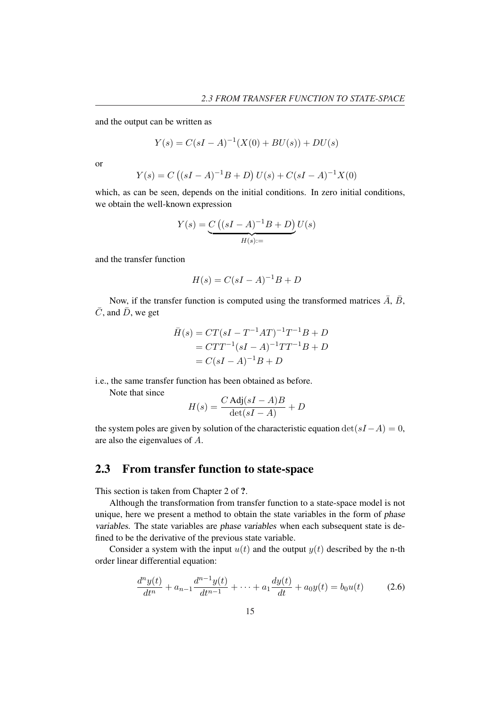and the output can be written as

$$
Y(s) = C(sI - A)^{-1}(X(0) + BU(s)) + DU(s)
$$

or

$$
Y(s) = C ((sI - A)^{-1}B + D) U(s) + C(sI - A)^{-1} X(0)
$$

which, as can be seen, depends on the initial conditions. In zero initial conditions, we obtain the well-known expression

$$
Y(s) = \underbrace{C((sI - A)^{-1}B + D)}_{H(s):=}U(s)
$$

and the transfer function

$$
H(s) = C(sI - A)^{-1}B + D
$$

Now, if the transfer function is computed using the transformed matrices  $\overline{A}$ ,  $\overline{B}$ ,  $\overline{C}$ , and  $\overline{D}$ , we get

$$
\bar{H}(s) = CT(sI - T^{-1}AT)^{-1}T^{-1}B + D
$$
  
=  $CTT^{-1}(sI - A)^{-1}TT^{-1}B + D$   
=  $C(sI - A)^{-1}B + D$ 

i.e., the same transfer function has been obtained as before.

Note that since

$$
H(s) = \frac{C \text{ Adj}(sI - A)B}{\det(sI - A)} + D
$$

the system poles are given by solution of the characteristic equation  $\det(sI-A) = 0$ , are also the eigenvalues of A.

## 2.3 From transfer function to state-space

This section is taken from Chapter 2 of ?.

Although the transformation from transfer function to a state-space model is not unique, here we present a method to obtain the state variables in the form of phase variables. The state variables are phase variables when each subsequent state is defined to be the derivative of the previous state variable.

Consider a system with the input  $u(t)$  and the output  $y(t)$  described by the n-th order linear differential equation:

$$
\frac{d^n y(t)}{dt^n} + a_{n-1} \frac{d^{n-1} y(t)}{dt^{n-1}} + \dots + a_1 \frac{dy(t)}{dt} + a_0 y(t) = b_0 u(t) \tag{2.6}
$$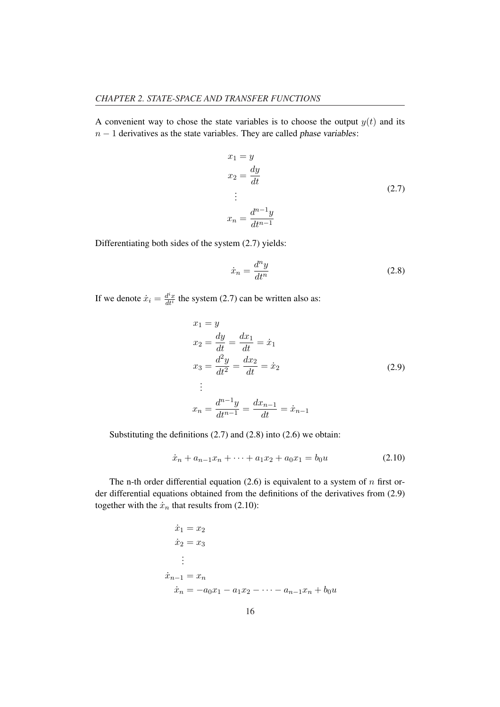A convenient way to chose the state variables is to choose the output  $y(t)$  and its  $n - 1$  derivatives as the state variables. They are called phase variables:

$$
x_1 = y
$$
  
\n
$$
x_2 = \frac{dy}{dt}
$$
  
\n
$$
\vdots
$$
  
\n
$$
x_n = \frac{d^{n-1}y}{dt^{n-1}}
$$
\n(2.7)

Differentiating both sides of the system (2.7) yields:

$$
\dot{x}_n = \frac{d^n y}{dt^n} \tag{2.8}
$$

If we denote  $\dot{x}_i = \frac{d^i x}{dt^i}$  $\frac{d^2x}{dt^i}$  the system (2.7) can be written also as:

$$
x_1 = y
$$
  
\n
$$
x_2 = \frac{dy}{dt} = \frac{dx_1}{dt} = \dot{x}_1
$$
  
\n
$$
x_3 = \frac{d^2y}{dt^2} = \frac{dx_2}{dt} = \dot{x}_2
$$
  
\n
$$
\vdots
$$
  
\n
$$
x_n = \frac{d^{n-1}y}{dt^{n-1}} = \frac{dx_{n-1}}{dt} = \dot{x}_{n-1}
$$
\n(2.9)

Substituting the definitions (2.7) and (2.8) into (2.6) we obtain:

$$
\dot{x}_n + a_{n-1}x_n + \dots + a_1x_2 + a_0x_1 = b_0u \tag{2.10}
$$

The n-th order differential equation  $(2.6)$  is equivalent to a system of n first order differential equations obtained from the definitions of the derivatives from (2.9) together with the  $\dot{x}_n$  that results from (2.10):

$$
\begin{aligned}\n\dot{x}_1 &= x_2\\ \n\dot{x}_2 &= x_3\\ \n\vdots\\ \n\dot{x}_{n-1} &= x_n\\ \n\dot{x}_n &= -a_0 x_1 - a_1 x_2 - \dots - a_{n-1} x_n + b_0 u\n\end{aligned}
$$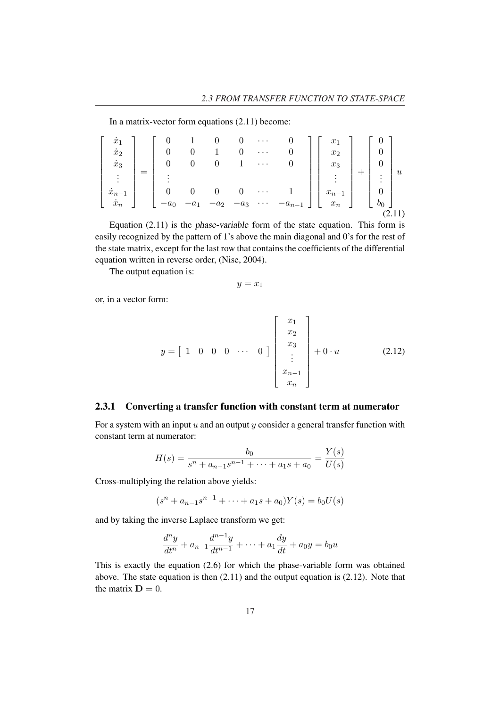In a matrix-vector form equations (2.11) become:

$$
\begin{bmatrix}\n\dot{x}_1 \\
\dot{x}_2 \\
\dot{x}_3 \\
\vdots \\
\dot{x}_{n-1} \\
\dot{x}_n\n\end{bmatrix} = \begin{bmatrix}\n0 & 1 & 0 & 0 & \cdots & 0 \\
0 & 0 & 1 & 0 & \cdots & 0 \\
0 & 0 & 0 & 1 & \cdots & 0 \\
\vdots \\
0 & 0 & 0 & 0 & \cdots & 1 \\
-a_0 & -a_1 & -a_2 & -a_3 & \cdots & -a_{n-1}\n\end{bmatrix} \begin{bmatrix}\nx_1 \\
x_2 \\
x_3 \\
\vdots \\
x_{n-1} \\
x_n\n\end{bmatrix} + \begin{bmatrix}\n0 \\
0 \\
0 \\
\vdots \\
0 \\
b_0\n\end{bmatrix} u
$$
\n(2.11)

Equation (2.11) is the phase-variable form of the state equation. This form is easily recognized by the pattern of 1's above the main diagonal and 0's for the rest of the state matrix, except for the last row that contains the coefficients of the differential equation written in reverse order, (Nise, 2004).

The output equation is:

$$
y = x_1
$$

or, in a vector form:

$$
y = \begin{bmatrix} 1 & 0 & 0 & 0 & \cdots & 0 \end{bmatrix} \begin{bmatrix} x_1 \\ x_2 \\ x_3 \\ \vdots \\ x_{n-1} \\ x_n \end{bmatrix} + 0 \cdot u \qquad (2.12)
$$

#### 2.3.1 Converting a transfer function with constant term at numerator

For a system with an input  $u$  and an output  $y$  consider a general transfer function with constant term at numerator:

$$
H(s) = \frac{b_0}{s^n + a_{n-1}s^{n-1} + \dots + a_1s + a_0} = \frac{Y(s)}{U(s)}
$$

Cross-multiplying the relation above yields:

$$
(sn + an-1sn-1 + \dots + a1s + a0)Y(s) = b0U(s)
$$

and by taking the inverse Laplace transform we get:

$$
\frac{d^{n}y}{dt^{n}} + a_{n-1}\frac{d^{n-1}y}{dt^{n-1}} + \cdots + a_{1}\frac{dy}{dt} + a_{0}y = b_{0}u
$$

This is exactly the equation (2.6) for which the phase-variable form was obtained above. The state equation is then (2.11) and the output equation is (2.12). Note that the matrix  $\mathbf{D} = 0$ .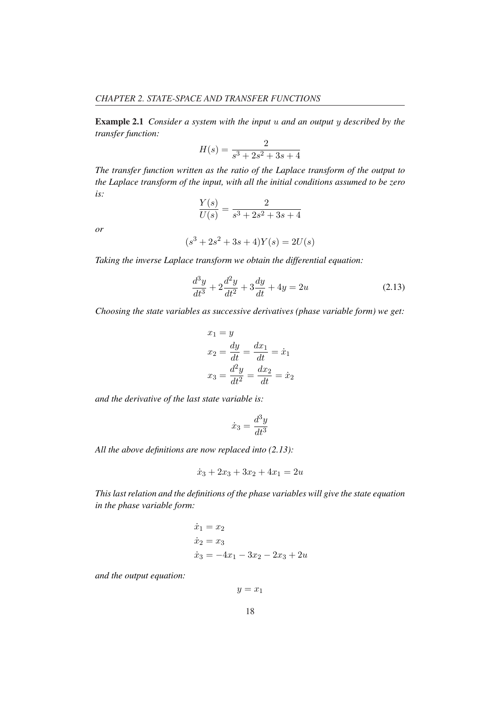Example 2.1 *Consider a system with the input* u *and an output* y *described by the transfer function:*

$$
H(s) = \frac{2}{s^3 + 2s^2 + 3s + 4}
$$

*The transfer function written as the ratio of the Laplace transform of the output to the Laplace transform of the input, with all the initial conditions assumed to be zero is:*

$$
\frac{Y(s)}{U(s)} = \frac{2}{s^3 + 2s^2 + 3s + 4}
$$

*or*

$$
(s3 + 2s2 + 3s + 4)Y(s) = 2U(s)
$$

*Taking the inverse Laplace transform we obtain the differential equation:*

$$
\frac{d^3y}{dt^3} + 2\frac{d^2y}{dt^2} + 3\frac{dy}{dt} + 4y = 2u
$$
\n(2.13)

*Choosing the state variables as successive derivatives (phase variable form) we get:*

$$
x_1 = y
$$
  
\n
$$
x_2 = \frac{dy}{dt} = \frac{dx_1}{dt} = \dot{x}_1
$$
  
\n
$$
x_3 = \frac{d^2y}{dt^2} = \frac{dx_2}{dt} = \dot{x}_2
$$

*and the derivative of the last state variable is:*

$$
\dot{x}_3 = \frac{d^3y}{dt^3}
$$

*All the above definitions are now replaced into (2.13):*

$$
\dot{x}_3 + 2x_3 + 3x_2 + 4x_1 = 2u
$$

*This last relation and the definitions of the phase variables will give the state equation in the phase variable form:*

$$
\begin{aligned}\n\dot{x}_1 &= x_2\\ \n\dot{x}_2 &= x_3\\ \n\dot{x}_3 &= -4x_1 - 3x_2 - 2x_3 + 2u\n\end{aligned}
$$

*and the output equation:*

$$
y=x_1
$$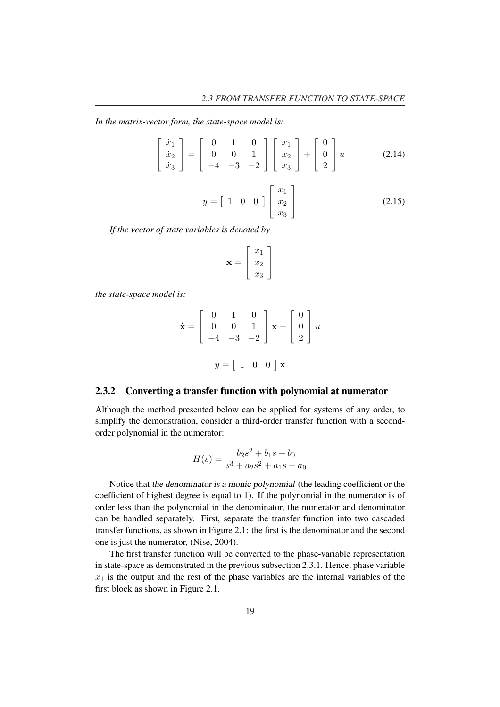*In the matrix-vector form, the state-space model is:*

$$
\begin{bmatrix} \dot{x}_1 \\ \dot{x}_2 \\ \dot{x}_3 \end{bmatrix} = \begin{bmatrix} 0 & 1 & 0 \\ 0 & 0 & 1 \\ -4 & -3 & -2 \end{bmatrix} \begin{bmatrix} x_1 \\ x_2 \\ x_3 \end{bmatrix} + \begin{bmatrix} 0 \\ 0 \\ 2 \end{bmatrix} u \tag{2.14}
$$

$$
y = \begin{bmatrix} 1 & 0 & 0 \end{bmatrix} \begin{bmatrix} x_1 \\ x_2 \\ x_3 \end{bmatrix}
$$
 (2.15)

*If the vector of state variables is denoted by*

$$
\mathbf{x} = \left[ \begin{array}{c} x_1 \\ x_2 \\ x_3 \end{array} \right]
$$

*the state-space model is:*

$$
\dot{\mathbf{x}} = \begin{bmatrix} 0 & 1 & 0 \\ 0 & 0 & 1 \\ -4 & -3 & -2 \end{bmatrix} \mathbf{x} + \begin{bmatrix} 0 \\ 0 \\ 2 \end{bmatrix} u
$$

$$
y = \begin{bmatrix} 1 & 0 & 0 \end{bmatrix} \mathbf{x}
$$

#### 2.3.2 Converting a transfer function with polynomial at numerator

Although the method presented below can be applied for systems of any order, to simplify the demonstration, consider a third-order transfer function with a secondorder polynomial in the numerator:

$$
H(s) = \frac{b_2s^2 + b_1s + b_0}{s^3 + a_2s^2 + a_1s + a_0}
$$

Notice that the denominator is <sup>a</sup> monic polynomial (the leading coefficient or the coefficient of highest degree is equal to 1). If the polynomial in the numerator is of order less than the polynomial in the denominator, the numerator and denominator can be handled separately. First, separate the transfer function into two cascaded transfer functions, as shown in Figure 2.1: the first is the denominator and the second one is just the numerator, (Nise, 2004).

The first transfer function will be converted to the phase-variable representation in state-space as demonstrated in the previous subsection 2.3.1. Hence, phase variable  $x_1$  is the output and the rest of the phase variables are the internal variables of the first block as shown in Figure 2.1.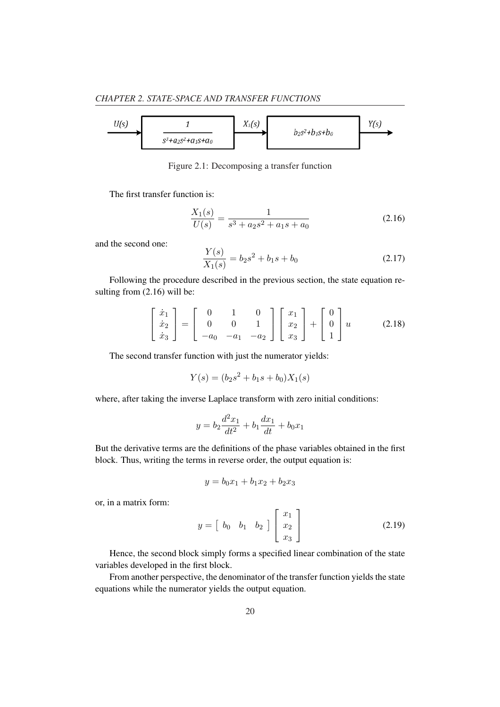

Figure 2.1: Decomposing a transfer function

The first transfer function is:

$$
\frac{X_1(s)}{U(s)} = \frac{1}{s^3 + a_2 s^2 + a_1 s + a_0} \tag{2.16}
$$

and the second one:

$$
\frac{Y(s)}{X_1(s)} = b_2 s^2 + b_1 s + b_0
$$
\n(2.17)

Following the procedure described in the previous section, the state equation resulting from  $(2.16)$  will be:

$$
\begin{bmatrix} \dot{x}_1 \\ \dot{x}_2 \\ \dot{x}_3 \end{bmatrix} = \begin{bmatrix} 0 & 1 & 0 \\ 0 & 0 & 1 \\ -a_0 & -a_1 & -a_2 \end{bmatrix} \begin{bmatrix} x_1 \\ x_2 \\ x_3 \end{bmatrix} + \begin{bmatrix} 0 \\ 0 \\ 1 \end{bmatrix} u \qquad (2.18)
$$

The second transfer function with just the numerator yields:

$$
Y(s) = (b_2s^2 + b_1s + b_0)X_1(s)
$$

where, after taking the inverse Laplace transform with zero initial conditions:

$$
y = b_2 \frac{d^2 x_1}{dt^2} + b_1 \frac{dx_1}{dt} + b_0 x_1
$$

But the derivative terms are the definitions of the phase variables obtained in the first block. Thus, writing the terms in reverse order, the output equation is:

$$
y = b_0 x_1 + b_1 x_2 + b_2 x_3
$$

or, in a matrix form:

$$
y = \begin{bmatrix} b_0 & b_1 & b_2 \end{bmatrix} \begin{bmatrix} x_1 \\ x_2 \\ x_3 \end{bmatrix}
$$
 (2.19)

Hence, the second block simply forms a specified linear combination of the state variables developed in the first block.

From another perspective, the denominator of the transfer function yields the state equations while the numerator yields the output equation.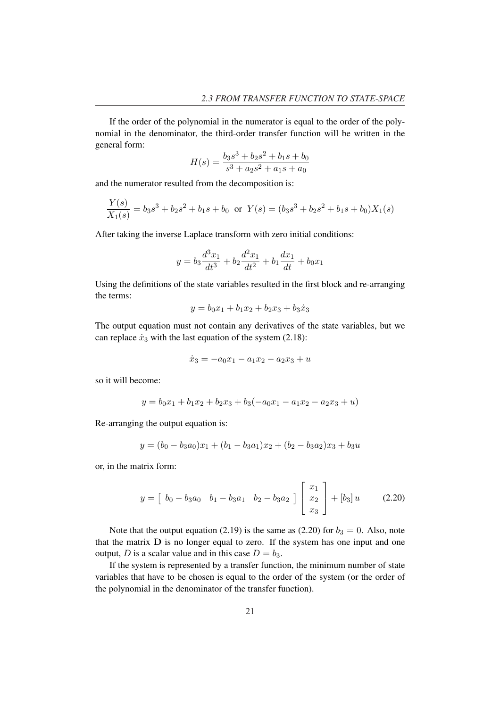If the order of the polynomial in the numerator is equal to the order of the polynomial in the denominator, the third-order transfer function will be written in the general form:

$$
H(s) = \frac{b_3s^3 + b_2s^2 + b_1s + b_0}{s^3 + a_2s^2 + a_1s + a_0}
$$

and the numerator resulted from the decomposition is:

$$
\frac{Y(s)}{X_1(s)} = b_3s^3 + b_2s^2 + b_1s + b_0 \text{ or } Y(s) = (b_3s^3 + b_2s^2 + b_1s + b_0)X_1(s)
$$

After taking the inverse Laplace transform with zero initial conditions:

$$
y = b_3 \frac{d^3 x_1}{dt^3} + b_2 \frac{d^2 x_1}{dt^2} + b_1 \frac{dx_1}{dt} + b_0 x_1
$$

Using the definitions of the state variables resulted in the first block and re-arranging the terms:

$$
y = b_0 x_1 + b_1 x_2 + b_2 x_3 + b_3 x_3
$$

The output equation must not contain any derivatives of the state variables, but we can replace  $\dot{x}_3$  with the last equation of the system (2.18):

$$
\dot{x}_3 = -a_0 x_1 - a_1 x_2 - a_2 x_3 + u
$$

so it will become:

$$
y = b_0x_1 + b_1x_2 + b_2x_3 + b_3(-a_0x_1 - a_1x_2 - a_2x_3 + u)
$$

Re-arranging the output equation is:

$$
y = (b_0 - b_3 a_0)x_1 + (b_1 - b_3 a_1)x_2 + (b_2 - b_3 a_2)x_3 + b_3 u
$$

or, in the matrix form:

$$
y = \begin{bmatrix} b_0 - b_3 a_0 & b_1 - b_3 a_1 & b_2 - b_3 a_2 \end{bmatrix} \begin{bmatrix} x_1 \\ x_2 \\ x_3 \end{bmatrix} + [b_3] u \qquad (2.20)
$$

Note that the output equation (2.19) is the same as (2.20) for  $b_3 = 0$ . Also, note that the matrix D is no longer equal to zero. If the system has one input and one output, D is a scalar value and in this case  $D = b_3$ .

If the system is represented by a transfer function, the minimum number of state variables that have to be chosen is equal to the order of the system (or the order of the polynomial in the denominator of the transfer function).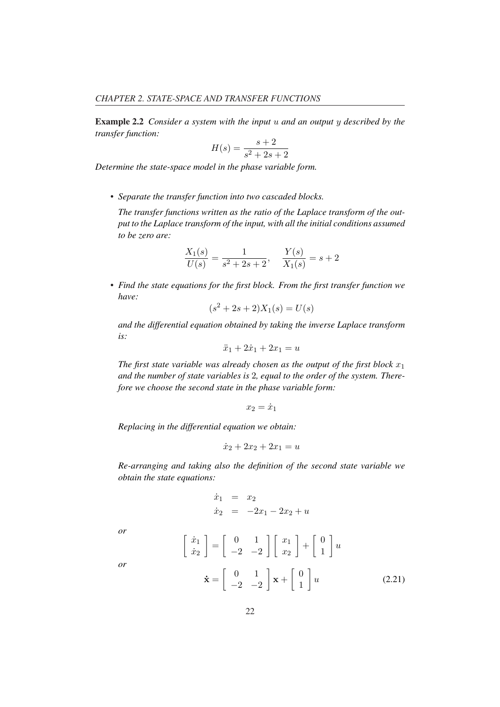Example 2.2 *Consider a system with the input* u *and an output* y *described by the transfer function:*

$$
H(s) = \frac{s+2}{s^2 + 2s + 2}
$$

*Determine the state-space model in the phase variable form.*

*• Separate the transfer function into two cascaded blocks.*

*The transfer functions written as the ratio of the Laplace transform of the output to the Laplace transform of the input, with all the initial conditions assumed to be zero are:*

$$
\frac{X_1(s)}{U(s)} = \frac{1}{s^2 + 2s + 2}, \quad \frac{Y(s)}{X_1(s)} = s + 2
$$

*• Find the state equations for the first block. From the first transfer function we have:*

$$
(s^2 + 2s + 2)X_1(s) = U(s)
$$

*and the differential equation obtained by taking the inverse Laplace transform is:*

$$
\ddot{x}_1 + 2\dot{x}_1 + 2x_1 = u
$$

*The first state variable was already chosen as the output of the first block*  $x_1$ *and the number of state variables is* 2*, equal to the order of the system. Therefore we choose the second state in the phase variable form:*

$$
x_2=\dot{x}_1
$$

*Replacing in the differential equation we obtain:*

·

$$
\dot{x}_2 + 2x_2 + 2x_1 = u
$$

*Re-arranging and taking also the definition of the second state variable we obtain the state equations:*

$$
\begin{array}{rcl}\n\dot{x}_1 &=& x_2 \\
\dot{x}_2 &=& -2x_1 - 2x_2 + u\n\end{array}
$$

*or*

$$
\begin{aligned}\n\dot{x}_1 \\
\dot{x}_2\n\end{aligned}\n\bigg] = \begin{bmatrix}\n0 & 1 \\
-2 & -2\n\end{bmatrix}\n\begin{bmatrix}\nx_1 \\
x_2\n\end{bmatrix} + \begin{bmatrix}\n0 \\
1\n\end{bmatrix} u\n\end{aligned}
$$
\n
$$
\dot{\mathbf{x}} = \begin{bmatrix}\n0 & 1 \\
-2 & -2\n\end{bmatrix} \mathbf{x} + \begin{bmatrix}\n0 \\
1\n\end{bmatrix} u
$$
\n(2.21)

*or*